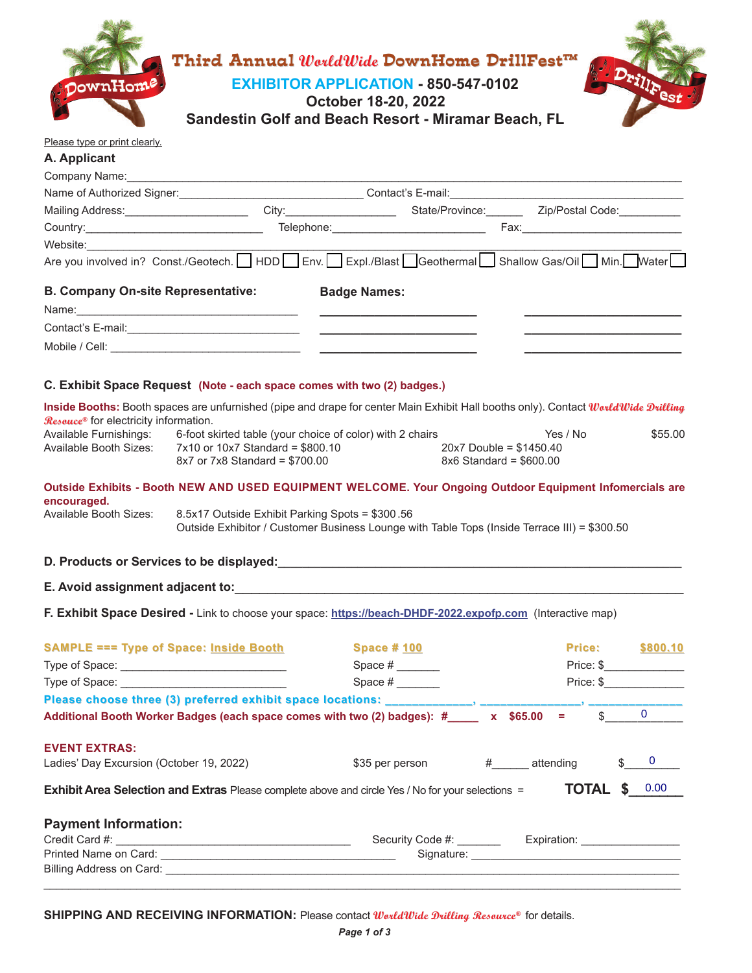|                                                                                                                                                                                                                                |                                                                         | Third Annual WorldWide DownHome DrillFest™                                                                                                                                                                                    |                                                         |                               |
|--------------------------------------------------------------------------------------------------------------------------------------------------------------------------------------------------------------------------------|-------------------------------------------------------------------------|-------------------------------------------------------------------------------------------------------------------------------------------------------------------------------------------------------------------------------|---------------------------------------------------------|-------------------------------|
| ownHom <sup>e</sup>                                                                                                                                                                                                            |                                                                         | <b>EXHIBITOR APPLICATION - 850-547-0102</b>                                                                                                                                                                                   |                                                         |                               |
|                                                                                                                                                                                                                                |                                                                         | <b>October 18-20, 2022</b>                                                                                                                                                                                                    |                                                         |                               |
|                                                                                                                                                                                                                                |                                                                         | Sandestin Golf and Beach Resort - Miramar Beach, FL                                                                                                                                                                           |                                                         |                               |
| Please type or print clearly.                                                                                                                                                                                                  |                                                                         |                                                                                                                                                                                                                               |                                                         |                               |
| A. Applicant                                                                                                                                                                                                                   |                                                                         |                                                                                                                                                                                                                               |                                                         |                               |
|                                                                                                                                                                                                                                |                                                                         |                                                                                                                                                                                                                               |                                                         |                               |
|                                                                                                                                                                                                                                |                                                                         | Mailing Address: ________________________City:_______________________State/Province:___________Zip/Postal Code:____________                                                                                                   |                                                         |                               |
|                                                                                                                                                                                                                                |                                                                         |                                                                                                                                                                                                                               |                                                         |                               |
| Website: when the control of the control of the control of the control of the control of the control of the control of the control of the control of the control of the control of the control of the control of the control o |                                                                         |                                                                                                                                                                                                                               |                                                         |                               |
|                                                                                                                                                                                                                                |                                                                         | Are you involved in? Const./Geotech.   HDD Env. Expl./Blast Geothermal Shallow Gas/Oil Min. Mater                                                                                                                             |                                                         |                               |
| <b>B. Company On-site Representative:</b>                                                                                                                                                                                      |                                                                         | <b>Badge Names:</b>                                                                                                                                                                                                           |                                                         |                               |
|                                                                                                                                                                                                                                |                                                                         | Name: 2008. 2009. 2009. 2009. 2009. 2009. 2009. 2009. 2009. 2009. 2009. 2009. 2009. 2009. 2009. 2009. 2009. 2009. 2009. 2009. 2009. 2009. 2009. 2009. 2009. 2009. 2009. 2009. 2009. 2009. 2009. 2009. 2009. 2009. 2009. 2009. |                                                         |                               |
|                                                                                                                                                                                                                                |                                                                         |                                                                                                                                                                                                                               |                                                         |                               |
|                                                                                                                                                                                                                                |                                                                         |                                                                                                                                                                                                                               |                                                         |                               |
|                                                                                                                                                                                                                                |                                                                         |                                                                                                                                                                                                                               |                                                         |                               |
|                                                                                                                                                                                                                                | C. Exhibit Space Request (Note - each space comes with two (2) badges.) |                                                                                                                                                                                                                               |                                                         |                               |
|                                                                                                                                                                                                                                |                                                                         | Inside Booths: Booth spaces are unfurnished (pipe and drape for center Main Exhibit Hall booths only). Contact WorldWide Drilling                                                                                             |                                                         |                               |
| Rescuce <sup>®</sup> for electricity information.                                                                                                                                                                              |                                                                         |                                                                                                                                                                                                                               |                                                         |                               |
| Available Furnishings:                                                                                                                                                                                                         |                                                                         | 6-foot skirted table (your choice of color) with 2 chairs                                                                                                                                                                     | Yes / No                                                | \$55.00                       |
| Available Booth Sizes:                                                                                                                                                                                                         | 7x10 or 10x7 Standard = \$800.10<br>8x7 or 7x8 Standard = \$700.00      |                                                                                                                                                                                                                               | $20x7$ Double = \$1450.40<br>$8x6$ Standard = $$600.00$ |                               |
|                                                                                                                                                                                                                                |                                                                         |                                                                                                                                                                                                                               |                                                         |                               |
|                                                                                                                                                                                                                                |                                                                         | Outside Exhibits - Booth NEW AND USED EQUIPMENT WELCOME. Your Ongoing Outdoor Equipment Infomercials are                                                                                                                      |                                                         |                               |
| encouraged.<br>Available Booth Sizes:<br>8.5x17 Outside Exhibit Parking Spots = \$300.56                                                                                                                                       |                                                                         |                                                                                                                                                                                                                               |                                                         |                               |
|                                                                                                                                                                                                                                |                                                                         | Outside Exhibitor / Customer Business Lounge with Table Tops (Inside Terrace III) = \$300.50                                                                                                                                  |                                                         |                               |
|                                                                                                                                                                                                                                |                                                                         |                                                                                                                                                                                                                               |                                                         |                               |
|                                                                                                                                                                                                                                |                                                                         |                                                                                                                                                                                                                               |                                                         |                               |
|                                                                                                                                                                                                                                |                                                                         |                                                                                                                                                                                                                               |                                                         |                               |
|                                                                                                                                                                                                                                |                                                                         |                                                                                                                                                                                                                               |                                                         |                               |
|                                                                                                                                                                                                                                |                                                                         | F. Exhibit Space Desired - Link to choose your space: https://beach-DHDF-2022.expofp.com (Interactive map)                                                                                                                    |                                                         |                               |
|                                                                                                                                                                                                                                |                                                                         |                                                                                                                                                                                                                               |                                                         |                               |
|                                                                                                                                                                                                                                | <b>SAMPLE === Type of Space: Inside Booth</b>                           | <b>Space #100</b>                                                                                                                                                                                                             |                                                         | Price: The Price:<br>\$800.10 |
|                                                                                                                                                                                                                                |                                                                         |                                                                                                                                                                                                                               |                                                         | Price: \$                     |
|                                                                                                                                                                                                                                |                                                                         |                                                                                                                                                                                                                               |                                                         | Price: \$                     |
|                                                                                                                                                                                                                                |                                                                         | Please choose three (3) preferred exhibit space locations: ____________, ________                                                                                                                                             |                                                         |                               |
|                                                                                                                                                                                                                                |                                                                         | Additional Booth Worker Badges (each space comes with two (2) badges): #_____ x \$65.00                                                                                                                                       | $\frac{1}{2}$ and $\frac{1}{2}$ .                       | $\overline{0}$                |
|                                                                                                                                                                                                                                |                                                                         |                                                                                                                                                                                                                               |                                                         |                               |
|                                                                                                                                                                                                                                |                                                                         | \$35 per person                                                                                                                                                                                                               | # attending                                             | $\mathbf{0}$                  |
| <b>EVENT EXTRAS:</b><br>Ladies' Day Excursion (October 19, 2022)                                                                                                                                                               |                                                                         | <b>Exhibit Area Selection and Extras</b> Please complete above and circle Yes / No for your selections =                                                                                                                      |                                                         | <b>TOTAL \$ 0.00</b>          |
|                                                                                                                                                                                                                                |                                                                         |                                                                                                                                                                                                                               |                                                         |                               |
| <b>Payment Information:</b>                                                                                                                                                                                                    |                                                                         |                                                                                                                                                                                                                               |                                                         |                               |
|                                                                                                                                                                                                                                |                                                                         |                                                                                                                                                                                                                               |                                                         |                               |

**SHIPPING AND RECEIVING INFORMATION:** Please contact *WorldWide Drilling Resource®* for details.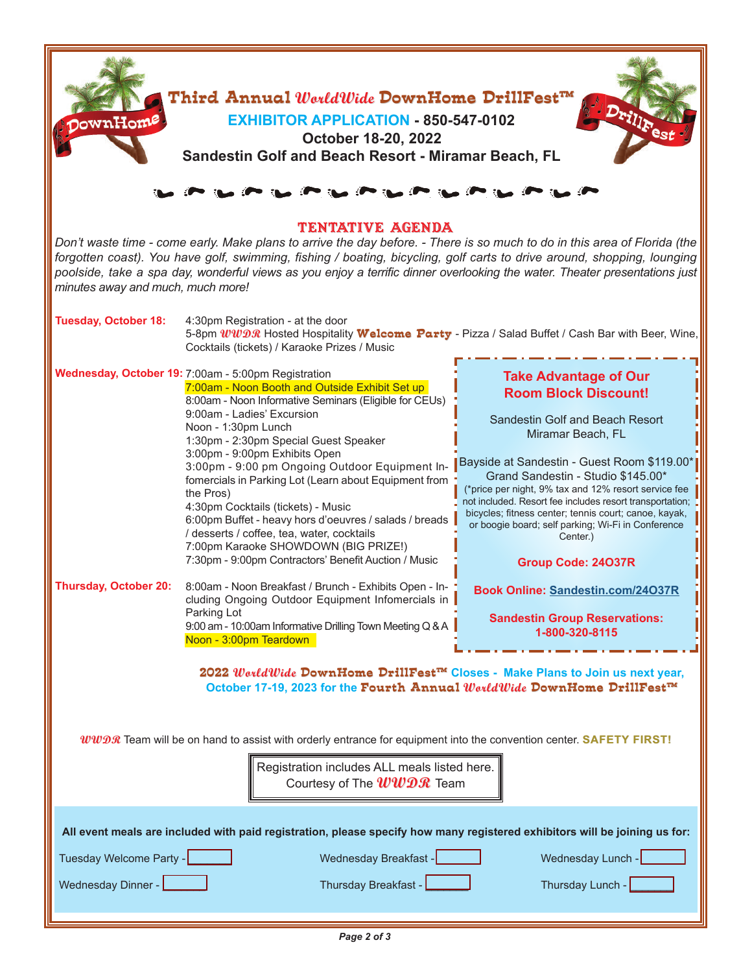| Third Annual $\mathit{Word4Wide}$ DownHome DrillFest $\texttt{m}$<br><b>DownHome</b><br><b>EXHIBITOR APPLICATION - 850-547-0102</b><br>October 18-20, 2022<br>Sandestin Golf and Beach Resort - Miramar Beach, FL                                                                                                                                                                                                                           |                                                                                                                                                                                                                                                                                                                                                                                                                                                                                                                                                                                                                                                                      |                                                                                                                                                                                                                                                                                                                                                                                                                                                                                     |  |  |  |
|---------------------------------------------------------------------------------------------------------------------------------------------------------------------------------------------------------------------------------------------------------------------------------------------------------------------------------------------------------------------------------------------------------------------------------------------|----------------------------------------------------------------------------------------------------------------------------------------------------------------------------------------------------------------------------------------------------------------------------------------------------------------------------------------------------------------------------------------------------------------------------------------------------------------------------------------------------------------------------------------------------------------------------------------------------------------------------------------------------------------------|-------------------------------------------------------------------------------------------------------------------------------------------------------------------------------------------------------------------------------------------------------------------------------------------------------------------------------------------------------------------------------------------------------------------------------------------------------------------------------------|--|--|--|
| TENTATIVE AGENDA<br>Don't waste time - come early. Make plans to arrive the day before. - There is so much to do in this area of Florida (the<br>forgotten coast). You have golf, swimming, fishing / boating, bicycling, golf carts to drive around, shopping, lounging<br>poolside, take a spa day, wonderful views as you enjoy a terrific dinner overlooking the water. Theater presentations just<br>minutes away and much, much more! |                                                                                                                                                                                                                                                                                                                                                                                                                                                                                                                                                                                                                                                                      |                                                                                                                                                                                                                                                                                                                                                                                                                                                                                     |  |  |  |
| <b>Tuesday, October 18:</b>                                                                                                                                                                                                                                                                                                                                                                                                                 | 4:30pm Registration - at the door<br>5-8pm <i>WWDS</i> Hosted Hospitality Welcome Party - Pizza / Salad Buffet / Cash Bar with Beer, Wine,<br>Cocktails (tickets) / Karaoke Prizes / Music                                                                                                                                                                                                                                                                                                                                                                                                                                                                           |                                                                                                                                                                                                                                                                                                                                                                                                                                                                                     |  |  |  |
|                                                                                                                                                                                                                                                                                                                                                                                                                                             | Wednesday, October 19: 7:00am - 5:00pm Registration<br>7:00am - Noon Booth and Outside Exhibit Set up<br>8:00am - Noon Informative Seminars (Eligible for CEUs)<br>9:00am - Ladies' Excursion<br>Noon - 1:30pm Lunch<br>1:30pm - 2:30pm Special Guest Speaker<br>3:00pm - 9:00pm Exhibits Open<br>3:00pm - 9:00 pm Ongoing Outdoor Equipment In-<br>fomercials in Parking Lot (Learn about Equipment from<br>the Pros)<br>4:30pm Cocktails (tickets) - Music<br>6:00pm Buffet - heavy hors d'oeuvres / salads / breads<br>/ desserts / coffee, tea, water, cocktails<br>7:00pm Karaoke SHOWDOWN (BIG PRIZE!)<br>7:30pm - 9:00pm Contractors' Benefit Auction / Music | <b>Take Advantage of Our</b><br><b>Room Block Discount!</b><br>Sandestin Golf and Beach Resort<br>Miramar Beach, FL<br>Bayside at Sandestin - Guest Room \$119.00<br>Grand Sandestin - Studio \$145.00*<br>(*price per night, 9% tax and 12% resort service fee<br>not included. Resort fee includes resort transportation;<br>bicycles; fitness center; tennis court; canoe, kayak,<br>or boogie board; self parking; Wi-Fi in Conference<br>Center.)<br><b>Group Code: 24037R</b> |  |  |  |
| <b>Thursday, October 20:</b>                                                                                                                                                                                                                                                                                                                                                                                                                | 8:00am - Noon Breakfast / Brunch - Exhibits Open - In-<br>cluding Ongoing Outdoor Equipment Infomercials in<br>Parking Lot<br>9:00 am - 10:00am Informative Drilling Town Meeting Q & A<br>Noon - 3:00pm Teardown<br>2022 WarldWide DownHome DrillFest™ Closes - Make Plans to Join us next year,<br>October 17-19, 2023 for the Fourth Annual WorldWide DownHome DrillFest™                                                                                                                                                                                                                                                                                         | Book Online: Sandestin.com/24O37R<br><b>Sandestin Group Reservations:</b><br>1-800-320-8115                                                                                                                                                                                                                                                                                                                                                                                         |  |  |  |
| $ww\mathcal{D}x$ Team will be on hand to assist with orderly entrance for equipment into the convention center. SAFETY FIRST!<br>Registration includes ALL meals listed here.<br>Courtesy of The $www\mathcal{D}\mathcal{R}$ Team                                                                                                                                                                                                           |                                                                                                                                                                                                                                                                                                                                                                                                                                                                                                                                                                                                                                                                      |                                                                                                                                                                                                                                                                                                                                                                                                                                                                                     |  |  |  |
| All event meals are included with paid registration, please specify how many registered exhibitors will be joining us for:<br>Tuesday Welcome Party -<br>Wednesday Breakfast - New York<br>Wednesday Lunch -<br>Wednesday Dinner -<br>Thursday Breakfast -<br>Thursday Lunch -                                                                                                                                                              |                                                                                                                                                                                                                                                                                                                                                                                                                                                                                                                                                                                                                                                                      |                                                                                                                                                                                                                                                                                                                                                                                                                                                                                     |  |  |  |